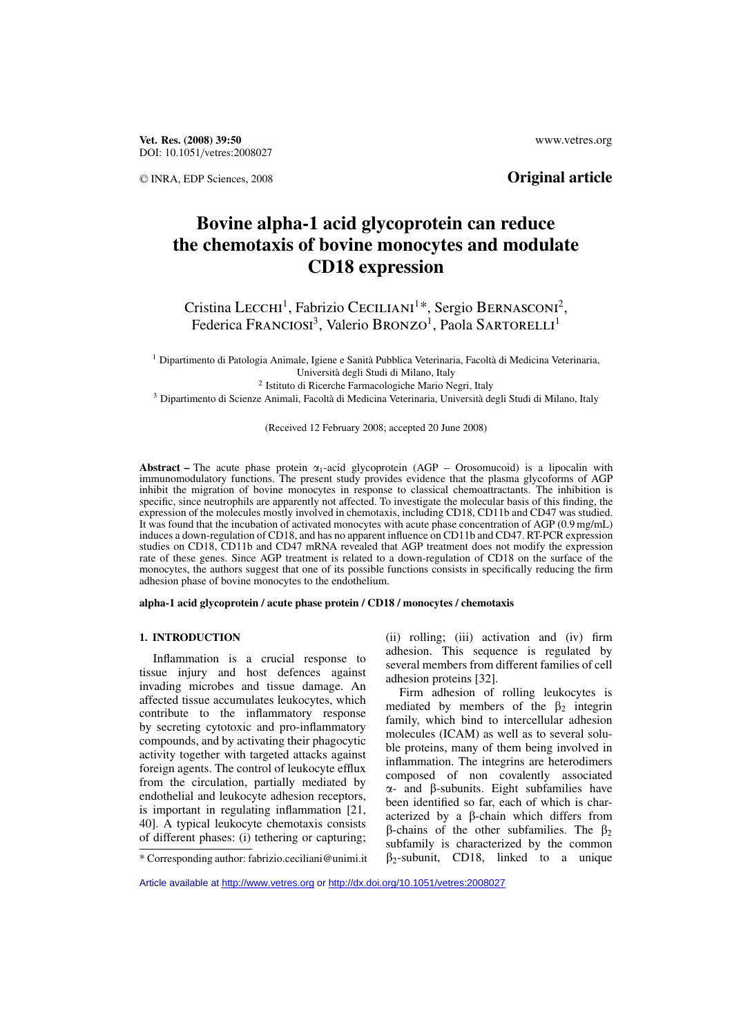**Vet. Res. (2008) 39:50** www.vetres.org DOI: 10.1051/vetres:2008027

## <sup>C</sup> INRA, EDP Sciences, 2008 **Original article**

# **Bovine alpha-1 acid glycoprotein can reduce the chemotaxis of bovine monocytes and modulate CD18 expression**

Cristina LECCHI<sup>1</sup>, Fabrizio CECILIANI<sup>1\*</sup>, Sergio BERNASCONI<sup>2</sup>, Federica FRANCIOSI<sup>3</sup>, Valerio BRONZO<sup>1</sup>, Paola SARTORELLI<sup>1</sup>

<sup>1</sup> Dipartimento di Patologia Animale, Igiene e Sanità Pubblica Veterinaria, Facoltà di Medicina Veterinaria, Università degli Studi di Milano, Italy

<sup>2</sup> Istituto di Ricerche Farmacologiche Mario Negri, Italy

<sup>3</sup> Dipartimento di Scienze Animali, Facoltà di Medicina Veterinaria, Università degli Studi di Milano, Italy

(Received 12 February 2008; accepted 20 June 2008)

**Abstract** – The acute phase protein  $\alpha_1$ -acid glycoprotein (AGP – Orosomucoid) is a lipocalin with immunomodulatory functions. The present study provides evidence that the plasma glycoforms of AGP inhibit the migration of bovine monocytes in response to classical chemoattractants. The inhibition is specific, since neutrophils are apparently not affected. To investigate the molecular basis of this finding, the expression of the molecules mostly involved in chemotaxis, including CD18, CD11b and CD47 was studied. It was found that the incubation of activated monocytes with acute phase concentration of AGP (0.9 mg/mL) induces a down-regulation of CD18, and has no apparent influence on CD11b and CD47. RT-PCR expression studies on CD18, CD11b and CD47 mRNA revealed that AGP treatment does not modify the expression rate of these genes. Since AGP treatment is related to a down-regulation of CD18 on the surface of the monocytes, the authors suggest that one of its possible functions consists in specifically reducing the firm adhesion phase of bovine monocytes to the endothelium.

**alpha-1 acid glycoprotein / acute phase protein / CD18 / monocytes / chemotaxis**

#### **1. INTRODUCTION**

Inflammation is a crucial response to tissue injury and host defences against invading microbes and tissue damage. An affected tissue accumulates leukocytes, which contribute to the inflammatory response by secreting cytotoxic and pro-inflammatory compounds, and by activating their phagocytic activity together with targeted attacks against foreign agents. The control of leukocyte efflux from the circulation, partially mediated by endothelial and leukocyte adhesion receptors, is important in regulating inflammation [21, 40]. A typical leukocyte chemotaxis consists of different phases: (i) tethering or capturing;

(ii) rolling; (iii) activation and (iv) firm adhesion. This sequence is regulated by several members from different families of cell adhesion proteins [32].

Firm adhesion of rolling leukocytes is mediated by members of the  $\beta_2$  integrin family, which bind to intercellular adhesion molecules (ICAM) as well as to several soluble proteins, many of them being involved in inflammation. The integrins are heterodimers composed of non covalently associated  $\alpha$ - and  $\beta$ -subunits. Eight subfamilies have been identified so far, each of which is characterized by a  $\beta$ -chain which differs from  $\beta$ -chains of the other subfamilies. The  $\beta_2$ subfamily is characterized by the common  $\beta_2$ -subunit, CD18, linked to a unique

Article available at<http://www.vetres.org>or<http://dx.doi.org/10.1051/vetres:2008027>

<sup>\*</sup> Corresponding author: fabrizio.ceciliani@unimi.it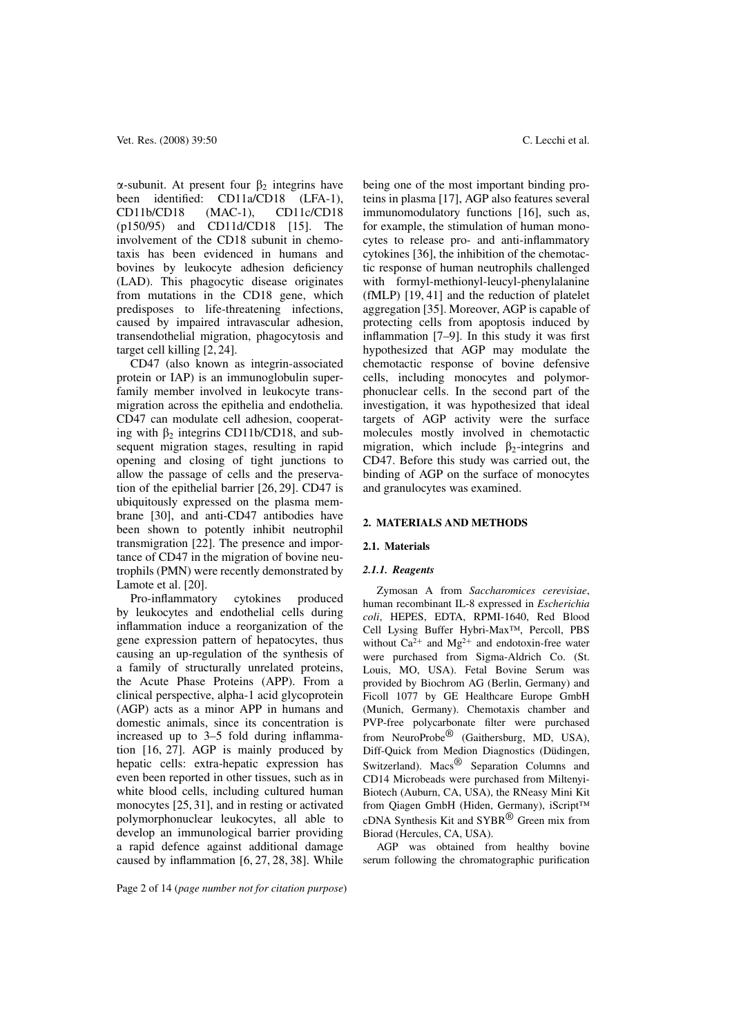$\alpha$ -subunit. At present four  $\beta_2$  integrins have been identified: CD11a/CD18 (LFA-1), CD11b/CD18 (MAC-1), CD11c/CD18 (p150/95) and CD11d/CD18 [15]. The involvement of the CD18 subunit in chemotaxis has been evidenced in humans and bovines by leukocyte adhesion deficiency (LAD). This phagocytic disease originates from mutations in the CD18 gene, which predisposes to life-threatening infections, caused by impaired intravascular adhesion, transendothelial migration, phagocytosis and target cell killing [2, 24].

CD47 (also known as integrin-associated protein or IAP) is an immunoglobulin superfamily member involved in leukocyte transmigration across the epithelia and endothelia. CD47 can modulate cell adhesion, cooperating with  $\beta_2$  integrins CD11b/CD18, and subsequent migration stages, resulting in rapid opening and closing of tight junctions to allow the passage of cells and the preservation of the epithelial barrier [26, 29]. CD47 is ubiquitously expressed on the plasma membrane [30], and anti-CD47 antibodies have been shown to potently inhibit neutrophil transmigration [22]. The presence and importance of CD47 in the migration of bovine neutrophils (PMN) were recently demonstrated by Lamote et al. [20].

Pro-inflammatory cytokines produced by leukocytes and endothelial cells during inflammation induce a reorganization of the gene expression pattern of hepatocytes, thus causing an up-regulation of the synthesis of a family of structurally unrelated proteins, the Acute Phase Proteins (APP). From a clinical perspective, alpha-1 acid glycoprotein (AGP) acts as a minor APP in humans and domestic animals, since its concentration is increased up to 3–5 fold during inflammation [16, 27]. AGP is mainly produced by hepatic cells: extra-hepatic expression has even been reported in other tissues, such as in white blood cells, including cultured human monocytes [25, 31], and in resting or activated polymorphonuclear leukocytes, all able to develop an immunological barrier providing a rapid defence against additional damage caused by inflammation [6, 27, 28, 38]. While

being one of the most important binding proteins in plasma [17], AGP also features several immunomodulatory functions [16], such as, for example, the stimulation of human monocytes to release pro- and anti-inflammatory cytokines [36], the inhibition of the chemotactic response of human neutrophils challenged with formyl-methionyl-leucyl-phenylalanine (fMLP) [19, 41] and the reduction of platelet aggregation [35]. Moreover, AGP is capable of protecting cells from apoptosis induced by inflammation [7–9]. In this study it was first hypothesized that AGP may modulate the chemotactic response of bovine defensive cells, including monocytes and polymorphonuclear cells. In the second part of the investigation, it was hypothesized that ideal targets of AGP activity were the surface molecules mostly involved in chemotactic migration, which include  $\beta_2$ -integrins and CD47. Before this study was carried out, the binding of AGP on the surface of monocytes and granulocytes was examined.

#### **2. MATERIALS AND METHODS**

#### **2.1. Materials**

#### *2.1.1. Reagents*

Zymosan A from *Saccharomices cerevisiae*, human recombinant IL-8 expressed in *Escherichia coli*, HEPES, EDTA, RPMI-1640, Red Blood Cell Lysing Buffer Hybri-Max™, Percoll, PBS without  $Ca^{2+}$  and  $Mg^{2+}$  and endotoxin-free water were purchased from Sigma-Aldrich Co. (St. Louis, MO, USA). Fetal Bovine Serum was provided by Biochrom AG (Berlin, Germany) and Ficoll 1077 by GE Healthcare Europe GmbH (Munich, Germany). Chemotaxis chamber and PVP-free polycarbonate filter were purchased from NeuroProbe<sup>®</sup> (Gaithersburg, MD, USA), Diff-Quick from Medion Diagnostics (Düdingen, Switzerland). Macs<sup>®</sup> Separation Columns and CD14 Microbeads were purchased from Miltenyi-Biotech (Auburn, CA, USA), the RNeasy Mini Kit from Qiagen GmbH (Hiden, Germany), iScript™ cDNA Synthesis Kit and SYBR® Green mix from Biorad (Hercules, CA, USA).

AGP was obtained from healthy bovine serum following the chromatographic purification

Page 2 of 14 (*page number not for citation purpose*)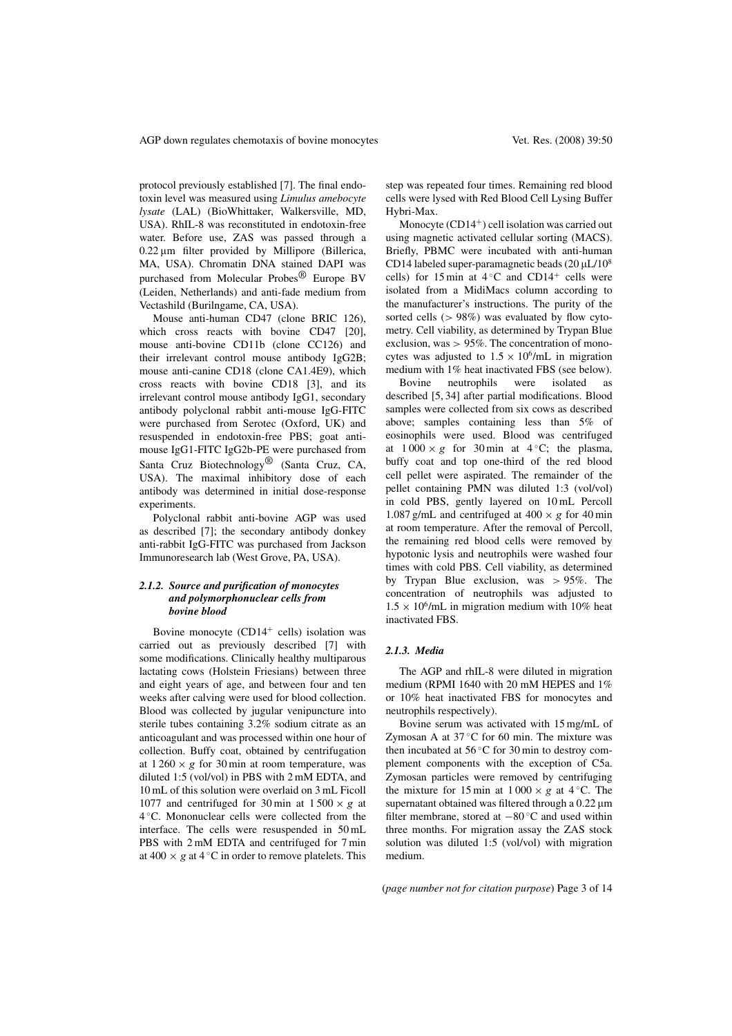protocol previously established [7]. The final endotoxin level was measured using *Limulus amebocyte lysate* (LAL) (BioWhittaker, Walkersville, MD, USA). RhIL-8 was reconstituted in endotoxin-free water. Before use, ZAS was passed through a  $0.22 \,\mu m$  filter provided by Millipore (Billerica, MA, USA). Chromatin DNA stained DAPI was purchased from Molecular Probes® Europe BV (Leiden, Netherlands) and anti-fade medium from Vectashild (Burilngame, CA, USA).

Mouse anti-human CD47 (clone BRIC 126), which cross reacts with bovine CD47 [20], mouse anti-bovine CD11b (clone CC126) and their irrelevant control mouse antibody IgG2B; mouse anti-canine CD18 (clone CA1.4E9), which cross reacts with bovine CD18 [3], and its irrelevant control mouse antibody IgG1, secondary antibody polyclonal rabbit anti-mouse IgG-FITC were purchased from Serotec (Oxford, UK) and resuspended in endotoxin-free PBS; goat antimouse IgG1-FITC IgG2b-PE were purchased from Santa Cruz Biotechnology® (Santa Cruz, CA, USA). The maximal inhibitory dose of each antibody was determined in initial dose-response experiments.

Polyclonal rabbit anti-bovine AGP was used as described [7]; the secondary antibody donkey anti-rabbit IgG-FITC was purchased from Jackson Immunoresearch lab (West Grove, PA, USA).

#### *2.1.2. Source and purification of monocytes and polymorphonuclear cells from bovine blood*

Bovine monocyte  $(CD14<sup>+</sup>$  cells) isolation was carried out as previously described [7] with some modifications. Clinically healthy multiparous lactating cows (Holstein Friesians) between three and eight years of age, and between four and ten weeks after calving were used for blood collection. Blood was collected by jugular venipuncture into sterile tubes containing 3.2% sodium citrate as an anticoagulant and was processed within one hour of collection. Buffy coat, obtained by centrifugation at  $1260 \times g$  for 30 min at room temperature, was diluted 1:5 (vol/vol) in PBS with 2 mM EDTA, and 10 mL of this solution were overlaid on 3 mL Ficoll 1077 and centrifuged for 30 min at  $1500 \times g$  at 4 ◦C. Mononuclear cells were collected from the interface. The cells were resuspended in 50 mL PBS with 2 mM EDTA and centrifuged for 7 min at 400  $\times$  g at 4 °C in order to remove platelets. This

step was repeated four times. Remaining red blood cells were lysed with Red Blood Cell Lysing Buffer Hybri-Max.

Monocyte  $(CD14<sup>+</sup>)$  cell isolation was carried out using magnetic activated cellular sorting (MACS). Briefly, PBMC were incubated with anti-human CD14 labeled super-paramagnetic beads  $(20 \mu L/10^8)$ cells) for 15 min at  $4 °C$  and CD14<sup>+</sup> cells were isolated from a MidiMacs column according to the manufacturer's instructions. The purity of the sorted cells  $(> 98\%)$  was evaluated by flow cytometry. Cell viability, as determined by Trypan Blue exclusion, was > 95%. The concentration of monocytes was adjusted to  $1.5 \times 10^6$ /mL in migration medium with 1% heat inactivated FBS (see below).

Bovine neutrophils were isolated as described [5, 34] after partial modifications. Blood samples were collected from six cows as described above; samples containing less than 5% of eosinophils were used. Blood was centrifuged at  $1000 \times g$  for 30 min at 4 °C; the plasma, buffy coat and top one-third of the red blood cell pellet were aspirated. The remainder of the pellet containing PMN was diluted 1:3 (vol/vol) in cold PBS, gently layered on 10 mL Percoll 1.087 g/mL and centrifuged at  $400 \times g$  for  $40 \text{ min}$ at room temperature. After the removal of Percoll, the remaining red blood cells were removed by hypotonic lysis and neutrophils were washed four times with cold PBS. Cell viability, as determined by Trypan Blue exclusion, was > 95%. The concentration of neutrophils was adjusted to  $1.5 \times 10^6$ /mL in migration medium with 10% heat inactivated FBS.

#### *2.1.3. Media*

The AGP and rhIL-8 were diluted in migration medium (RPMI 1640 with 20 mM HEPES and 1% or 10% heat inactivated FBS for monocytes and neutrophils respectively).

Bovine serum was activated with 15 mg/mL of Zymosan A at  $37^{\circ}$ C for 60 min. The mixture was then incubated at  $56^{\circ}$ C for 30 min to destroy complement components with the exception of C5a. Zymosan particles were removed by centrifuging the mixture for 15 min at  $1000 \times g$  at 4 °C. The supernatant obtained was filtered through a  $0.22 \,\mu m$ filter membrane, stored at −80 ◦C and used within three months. For migration assay the ZAS stock solution was diluted 1:5 (vol/vol) with migration medium.

(*page number not for citation purpose*) Page 3 of 14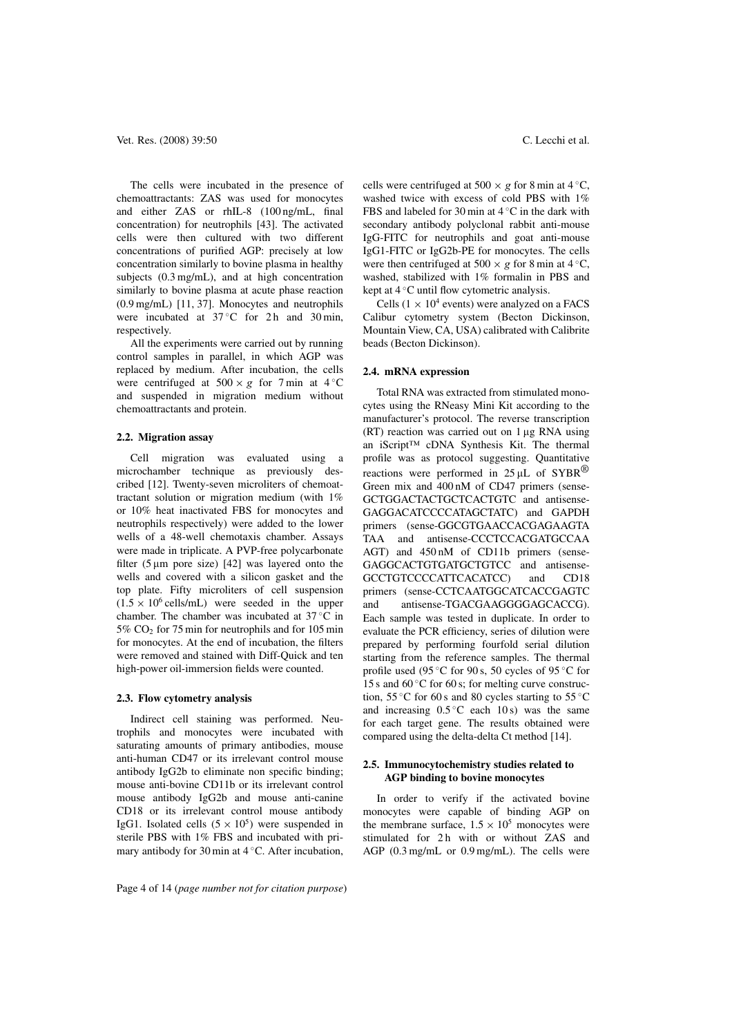The cells were incubated in the presence of chemoattractants: ZAS was used for monocytes and either ZAS or rhIL-8 (100 ng/mL, final concentration) for neutrophils [43]. The activated cells were then cultured with two different concentrations of purified AGP: precisely at low concentration similarly to bovine plasma in healthy subjects (0.3 mg/mL), and at high concentration similarly to bovine plasma at acute phase reaction (0.9 mg/mL) [11, 37]. Monocytes and neutrophils were incubated at  $37^{\circ}$ C for 2h and 30 min, respectively.

All the experiments were carried out by running control samples in parallel, in which AGP was replaced by medium. After incubation, the cells were centrifuged at  $500 \times g$  for 7 min at 4 °C and suspended in migration medium without chemoattractants and protein.

#### **2.2. Migration assay**

Cell migration was evaluated using a microchamber technique as previously described [12]. Twenty-seven microliters of chemoattractant solution or migration medium (with 1% or 10% heat inactivated FBS for monocytes and neutrophils respectively) were added to the lower wells of a 48-well chemotaxis chamber. Assays were made in triplicate. A PVP-free polycarbonate filter (5  $\mu$ m pore size) [42] was layered onto the wells and covered with a silicon gasket and the top plate. Fifty microliters of cell suspension  $(1.5 \times 10^6 \text{ cells/mL})$  were seeded in the upper chamber. The chamber was incubated at 37 ◦C in  $5\%$  CO<sub>2</sub> for 75 min for neutrophils and for 105 min for monocytes. At the end of incubation, the filters were removed and stained with Diff-Quick and ten high-power oil-immersion fields were counted.

#### **2.3. Flow cytometry analysis**

Indirect cell staining was performed. Neutrophils and monocytes were incubated with saturating amounts of primary antibodies, mouse anti-human CD47 or its irrelevant control mouse antibody IgG2b to eliminate non specific binding; mouse anti-bovine CD11b or its irrelevant control mouse antibody IgG2b and mouse anti-canine CD18 or its irrelevant control mouse antibody IgG1. Isolated cells  $(5 \times 10^5)$  were suspended in sterile PBS with 1% FBS and incubated with primary antibody for 30 min at 4 ℃. After incubation,

cells were centrifuged at 500  $\times$  g for 8 min at 4 °C, washed twice with excess of cold PBS with 1% FBS and labeled for 30 min at  $4 °C$  in the dark with secondary antibody polyclonal rabbit anti-mouse IgG-FITC for neutrophils and goat anti-mouse IgG1-FITC or IgG2b-PE for monocytes. The cells were then centrifuged at 500  $\times$  g for 8 min at 4 °C, washed, stabilized with 1% formalin in PBS and kept at  $4^{\circ}$ C until flow cytometric analysis.

Cells ( $1 \times 10^4$  events) were analyzed on a FACS Calibur cytometry system (Becton Dickinson, Mountain View, CA, USA) calibrated with Calibrite beads (Becton Dickinson).

#### **2.4. mRNA expression**

Total RNA was extracted from stimulated monocytes using the RNeasy Mini Kit according to the manufacturer's protocol. The reverse transcription  $(RT)$  reaction was carried out on  $1 \mu$ g RNA using an iScript™ cDNA Synthesis Kit. The thermal profile was as protocol suggesting. Quantitative reactions were performed in  $25 \mu L$  of SYBR® Green mix and 400 nM of CD47 primers (sense-GCTGGACTACTGCTCACTGTC and antisense-GAGGACATCCCCATAGCTATC) and GAPDH primers (sense-GGCGTGAACCACGAGAAGTA TAA and antisense-CCCTCCACGATGCCAA AGT) and 450 nM of CD11b primers (sense-GAGGCACTGTGATGCTGTCC and antisense-GCCTGTCCCCATTCACATCC) and CD18 primers (sense-CCTCAATGGCATCACCGAGTC and antisense-TGACGAAGGGGAGCACCG). Each sample was tested in duplicate. In order to evaluate the PCR efficiency, series of dilution were prepared by performing fourfold serial dilution starting from the reference samples. The thermal profile used (95 $°C$  for 90 s, 50 cycles of 95 $°C$  for 15 s and  $60^{\circ}$ C for 60 s; for melting curve construction, 55 °C for 60 s and 80 cycles starting to 55 °C and increasing  $0.5\degree$ C each  $10\text{ s}$  was the same for each target gene. The results obtained were compared using the delta-delta Ct method [14].

#### **2.5. Immunocytochemistry studies related to AGP binding to bovine monocytes**

In order to verify if the activated bovine monocytes were capable of binding AGP on the membrane surface,  $1.5 \times 10^5$  monocytes were stimulated for 2h with or without ZAS and AGP (0.3 mg/mL or 0.9 mg/mL). The cells were

Page 4 of 14 (*page number not for citation purpose*)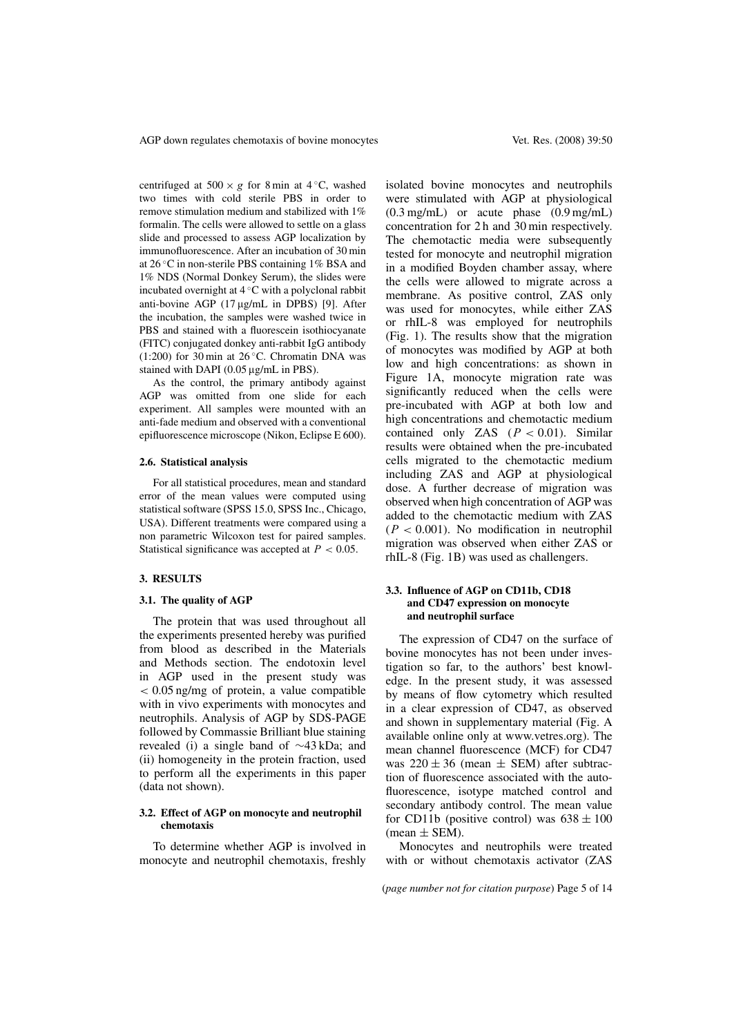centrifuged at  $500 \times g$  for 8 min at 4 °C, washed two times with cold sterile PBS in order to remove stimulation medium and stabilized with 1% formalin. The cells were allowed to settle on a glass slide and processed to assess AGP localization by immunofluorescence. After an incubation of 30 min at 26 ◦C in non-sterile PBS containing 1% BSA and 1% NDS (Normal Donkey Serum), the slides were incubated overnight at 4 ◦C with a polyclonal rabbit anti-bovine AGP (17 µg/mL in DPBS) [9]. After the incubation, the samples were washed twice in PBS and stained with a fluorescein isothiocyanate (FITC) conjugated donkey anti-rabbit IgG antibody  $(1:200)$  for 30 min at 26 °C. Chromatin DNA was stained with DAPI ( $0.05 \mu g/mL$  in PBS).

As the control, the primary antibody against AGP was omitted from one slide for each experiment. All samples were mounted with an anti-fade medium and observed with a conventional epifluorescence microscope (Nikon, Eclipse E 600).

#### **2.6. Statistical analysis**

For all statistical procedures, mean and standard error of the mean values were computed using statistical software (SPSS 15.0, SPSS Inc., Chicago, USA). Different treatments were compared using a non parametric Wilcoxon test for paired samples. Statistical significance was accepted at  $P < 0.05$ .

#### **3. RESULTS**

#### **3.1. The quality of AGP**

The protein that was used throughout all the experiments presented hereby was purified from blood as described in the Materials and Methods section. The endotoxin level in AGP used in the present study was  $< 0.05$  ng/mg of protein, a value compatible with in vivo experiments with monocytes and neutrophils. Analysis of AGP by SDS-PAGE followed by Commassie Brilliant blue staining revealed (i) a single band of ∼43 kDa; and (ii) homogeneity in the protein fraction, used to perform all the experiments in this paper (data not shown).

#### **3.2. Effect of AGP on monocyte and neutrophil chemotaxis**

To determine whether AGP is involved in monocyte and neutrophil chemotaxis, freshly

isolated bovine monocytes and neutrophils were stimulated with AGP at physiological (0.3 mg/mL) or acute phase (0.9 mg/mL) concentration for 2 h and 30 min respectively. The chemotactic media were subsequently tested for monocyte and neutrophil migration in a modified Boyden chamber assay, where the cells were allowed to migrate across a membrane. As positive control, ZAS only was used for monocytes, while either ZAS or rhIL-8 was employed for neutrophils (Fig. 1). The results show that the migration of monocytes was modified by AGP at both low and high concentrations: as shown in Figure 1A, monocyte migration rate was significantly reduced when the cells were pre-incubated with AGP at both low and high concentrations and chemotactic medium contained only ZAS  $(P < 0.01)$ . Similar results were obtained when the pre-incubated cells migrated to the chemotactic medium including ZAS and AGP at physiological dose. A further decrease of migration was observed when high concentration of AGP was added to the chemotactic medium with ZAS  $(P < 0.001)$ . No modification in neutrophil migration was observed when either ZAS or rhIL-8 (Fig. 1B) was used as challengers.

#### **3.3. Influence of AGP on CD11b, CD18 and CD47 expression on monocyte and neutrophil surface**

The expression of CD47 on the surface of bovine monocytes has not been under investigation so far, to the authors' best knowledge. In the present study, it was assessed by means of flow cytometry which resulted in a clear expression of CD47, as observed and shown in supplementary material (Fig. A available online only at www.vetres.org). The mean channel fluorescence (MCF) for CD47 was  $220 + 36$  (mean  $+$  SEM) after subtraction of fluorescence associated with the autofluorescence, isotype matched control and secondary antibody control. The mean value for CD11b (positive control) was  $638 \pm 100$  $(mean \pm SEM)$ .

Monocytes and neutrophils were treated with or without chemotaxis activator (ZAS

(*page number not for citation purpose*) Page 5 of 14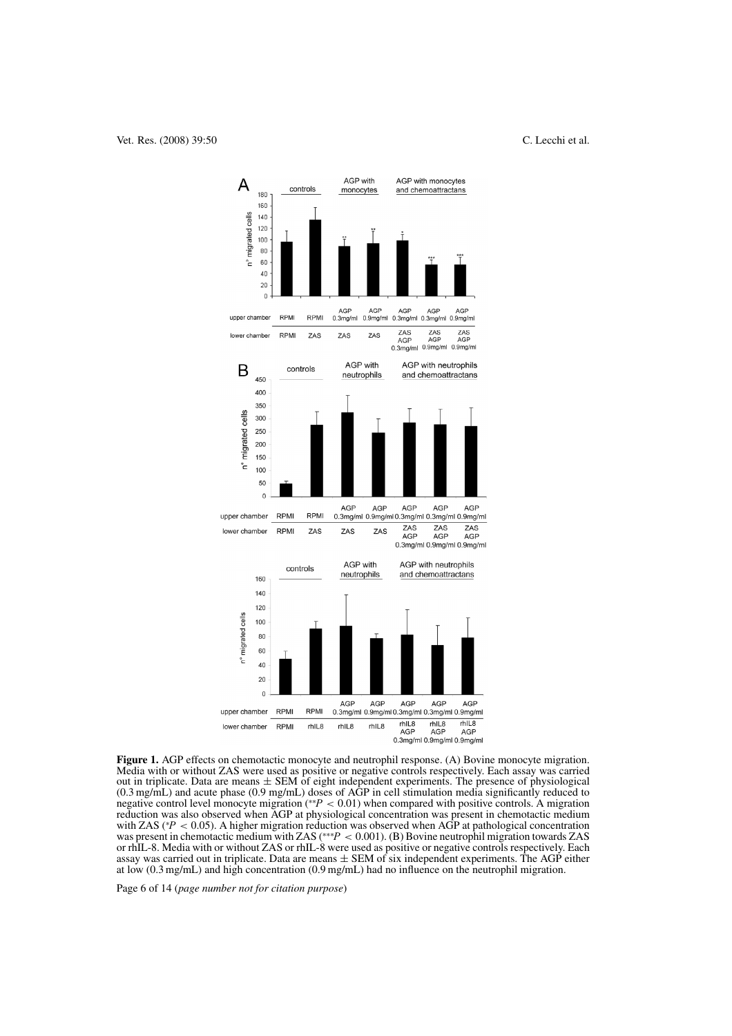

**Figure 1.** AGP effects on chemotactic monocyte and neutrophil response. (A) Bovine monocyte migration. Media with or without ZAS were used as positive or negative controls respectively. Each assay was carried out in triplicate. Data are means ± SEM of eight independent experiments. The presence of physiological (0.3 mg/mL) and acute phase (0.9 mg/mL) doses of AGP in cell stimulation media significantly reduced to negative control level monocyte migration (\*\*P < 0.01) when compared with positive controls. A migration reduction was also observed when AGP at physiological concentration was present in chemotactic medium with ZAS ( ${}^*P$  < 0.05). A higher migration reduction was observed when AGP at pathological concentration  $P < 0.05$ ). A higher migration reduction was observed when AGP at pathological concentration in chemotactic medium with ZAS  $(***P < 0.001)$ . (B) Bovine neutrophil migration towards ZAS was present in chemotactic medium with ZAS (\*\*\* $P < 0.001$ ). (B) Bovine neutrophil migration towards ZAS or rhIL-8. Media with or without ZAS or rhIL-8 were used as positive or negative controls respectively. Each assay was carried out in triplicate. Data are means  $\pm$  SEM of six independent experiments. The AGP either at low (0.3 mg/mL) and high concentration (0.9 mg/mL) had no influence on the neutrophil migration.

Page 6 of 14 (*page number not for citation purpose*)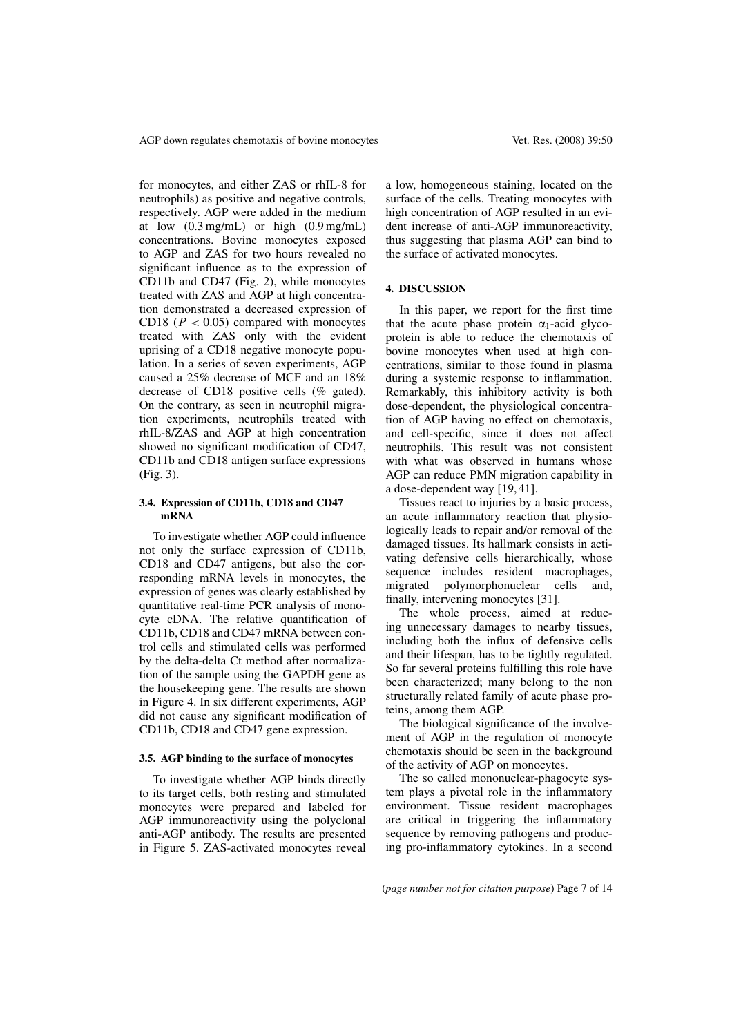for monocytes, and either ZAS or rhIL-8 for neutrophils) as positive and negative controls, respectively. AGP were added in the medium at low  $(0.3 \text{ mg/mL})$  or high  $(0.9 \text{ mg/mL})$ concentrations. Bovine monocytes exposed to AGP and ZAS for two hours revealed no significant influence as to the expression of CD11b and CD47 (Fig. 2), while monocytes treated with ZAS and AGP at high concentration demonstrated a decreased expression of CD18 ( $P < 0.05$ ) compared with monocytes treated with ZAS only with the evident uprising of a CD18 negative monocyte population. In a series of seven experiments, AGP caused a 25% decrease of MCF and an 18% decrease of CD18 positive cells (% gated). On the contrary, as seen in neutrophil migration experiments, neutrophils treated with rhIL-8/ZAS and AGP at high concentration showed no significant modification of CD47, CD11b and CD18 antigen surface expressions (Fig. 3).

#### **3.4. Expression of CD11b, CD18 and CD47 mRNA**

To investigate whether AGP could influence not only the surface expression of CD11b, CD18 and CD47 antigens, but also the corresponding mRNA levels in monocytes, the expression of genes was clearly established by quantitative real-time PCR analysis of monocyte cDNA. The relative quantification of CD11b, CD18 and CD47 mRNA between control cells and stimulated cells was performed by the delta-delta Ct method after normalization of the sample using the GAPDH gene as the housekeeping gene. The results are shown in Figure 4. In six different experiments, AGP did not cause any significant modification of CD11b, CD18 and CD47 gene expression.

#### **3.5. AGP binding to the surface of monocytes**

To investigate whether AGP binds directly to its target cells, both resting and stimulated monocytes were prepared and labeled for AGP immunoreactivity using the polyclonal anti-AGP antibody. The results are presented in Figure 5. ZAS-activated monocytes reveal a low, homogeneous staining, located on the surface of the cells. Treating monocytes with high concentration of AGP resulted in an evident increase of anti-AGP immunoreactivity, thus suggesting that plasma AGP can bind to the surface of activated monocytes.

#### **4. DISCUSSION**

In this paper, we report for the first time that the acute phase protein  $\alpha_1$ -acid glycoprotein is able to reduce the chemotaxis of bovine monocytes when used at high concentrations, similar to those found in plasma during a systemic response to inflammation. Remarkably, this inhibitory activity is both dose-dependent, the physiological concentration of AGP having no effect on chemotaxis, and cell-specific, since it does not affect neutrophils. This result was not consistent with what was observed in humans whose AGP can reduce PMN migration capability in a dose-dependent way [19, 41].

Tissues react to injuries by a basic process, an acute inflammatory reaction that physiologically leads to repair and/or removal of the damaged tissues. Its hallmark consists in activating defensive cells hierarchically, whose sequence includes resident macrophages, migrated polymorphonuclear cells and, finally, intervening monocytes [31].

The whole process, aimed at reducing unnecessary damages to nearby tissues, including both the influx of defensive cells and their lifespan, has to be tightly regulated. So far several proteins fulfilling this role have been characterized; many belong to the non structurally related family of acute phase proteins, among them AGP.

The biological significance of the involvement of AGP in the regulation of monocyte chemotaxis should be seen in the background of the activity of AGP on monocytes.

The so called mononuclear-phagocyte system plays a pivotal role in the inflammatory environment. Tissue resident macrophages are critical in triggering the inflammatory sequence by removing pathogens and producing pro-inflammatory cytokines. In a second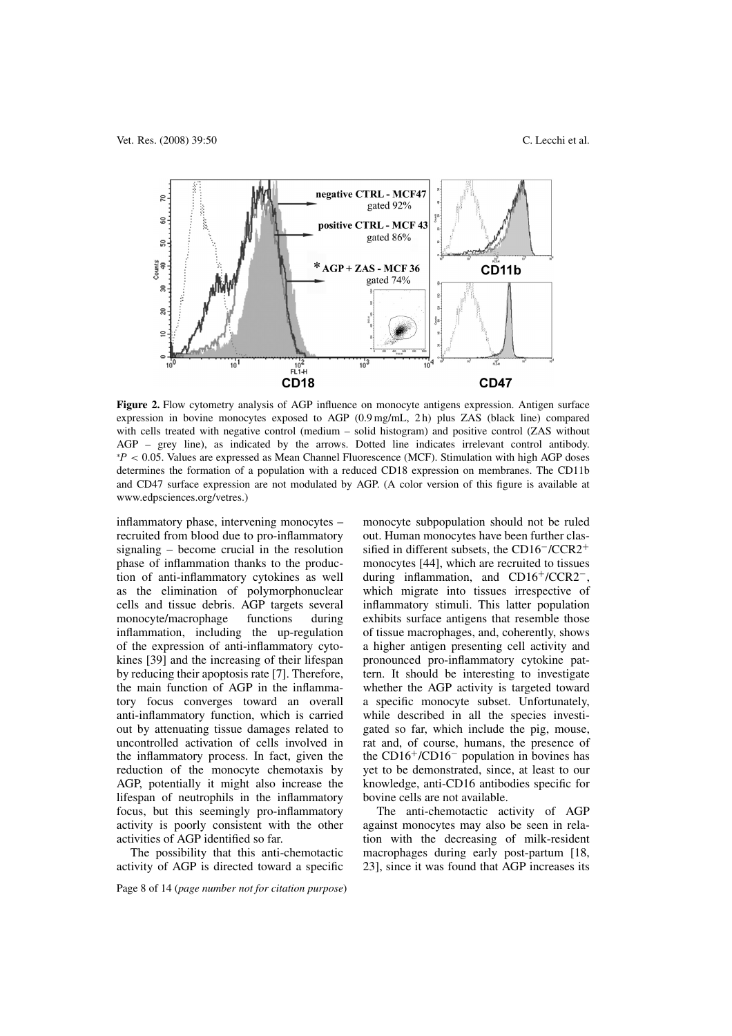

**Figure 2.** Flow cytometry analysis of AGP influence on monocyte antigens expression. Antigen surface expression in bovine monocytes exposed to AGP (0.9 mg/mL, 2 h) plus ZAS (black line) compared with cells treated with negative control (medium – solid histogram) and positive control (ZAS without AGP – grey line), as indicated by the arrows. Dotted line indicates irrelevant control antibody. ∗ P < 0.05. Values are expressed as Mean Channel Fluorescence (MCF). Stimulation with high AGP doses determines the formation of a population with a reduced CD18 expression on membranes. The CD11b and CD47 surface expression are not modulated by AGP. (A color version of this figure is available at www.edpsciences.org/vetres.)

inflammatory phase, intervening monocytes – recruited from blood due to pro-inflammatory signaling – become crucial in the resolution phase of inflammation thanks to the production of anti-inflammatory cytokines as well as the elimination of polymorphonuclear cells and tissue debris. AGP targets several monocyte/macrophage functions during inflammation, including the up-regulation of the expression of anti-inflammatory cytokines [39] and the increasing of their lifespan by reducing their apoptosis rate [7]. Therefore, the main function of AGP in the inflammatory focus converges toward an overall anti-inflammatory function, which is carried out by attenuating tissue damages related to uncontrolled activation of cells involved in the inflammatory process. In fact, given the reduction of the monocyte chemotaxis by AGP, potentially it might also increase the lifespan of neutrophils in the inflammatory focus, but this seemingly pro-inflammatory activity is poorly consistent with the other activities of AGP identified so far.

The possibility that this anti-chemotactic activity of AGP is directed toward a specific

Page 8 of 14 (*page number not for citation purpose*)

monocyte subpopulation should not be ruled out. Human monocytes have been further classified in different subsets, the CD16−/CCR2<sup>+</sup> monocytes [44], which are recruited to tissues during inflammation, and CD16+/CCR2−, which migrate into tissues irrespective of inflammatory stimuli. This latter population exhibits surface antigens that resemble those of tissue macrophages, and, coherently, shows a higher antigen presenting cell activity and pronounced pro-inflammatory cytokine pattern. It should be interesting to investigate whether the AGP activity is targeted toward a specific monocyte subset. Unfortunately, while described in all the species investigated so far, which include the pig, mouse, rat and, of course, humans, the presence of the CD16+/CD16<sup>−</sup> population in bovines has yet to be demonstrated, since, at least to our knowledge, anti-CD16 antibodies specific for bovine cells are not available.

The anti-chemotactic activity of AGP against monocytes may also be seen in relation with the decreasing of milk-resident macrophages during early post-partum [18, 23], since it was found that AGP increases its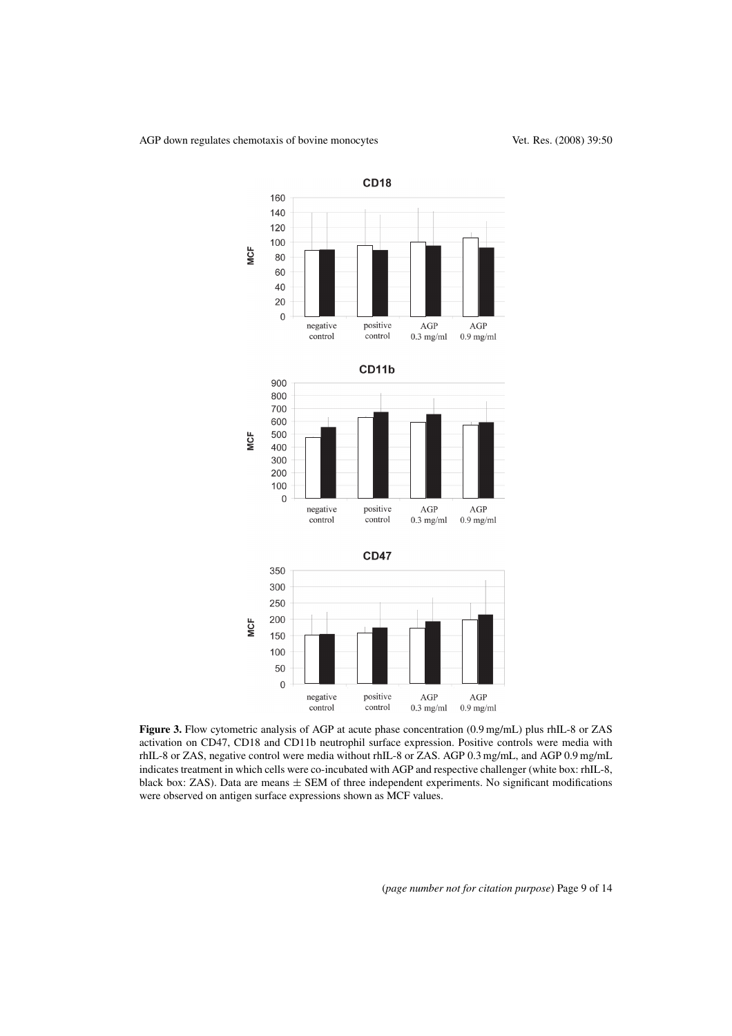

**Figure 3.** Flow cytometric analysis of AGP at acute phase concentration (0.9 mg/mL) plus rhIL-8 or ZAS activation on CD47, CD18 and CD11b neutrophil surface expression. Positive controls were media with rhIL-8 or ZAS, negative control were media without rhIL-8 or ZAS. AGP 0.3 mg/mL, and AGP 0.9 mg/mL indicates treatment in which cells were co-incubated with AGP and respective challenger (white box: rhIL-8, black box: ZAS). Data are means  $\pm$  SEM of three independent experiments. No significant modifications were observed on antigen surface expressions shown as MCF values.

(*page number not for citation purpose*) Page 9 of 14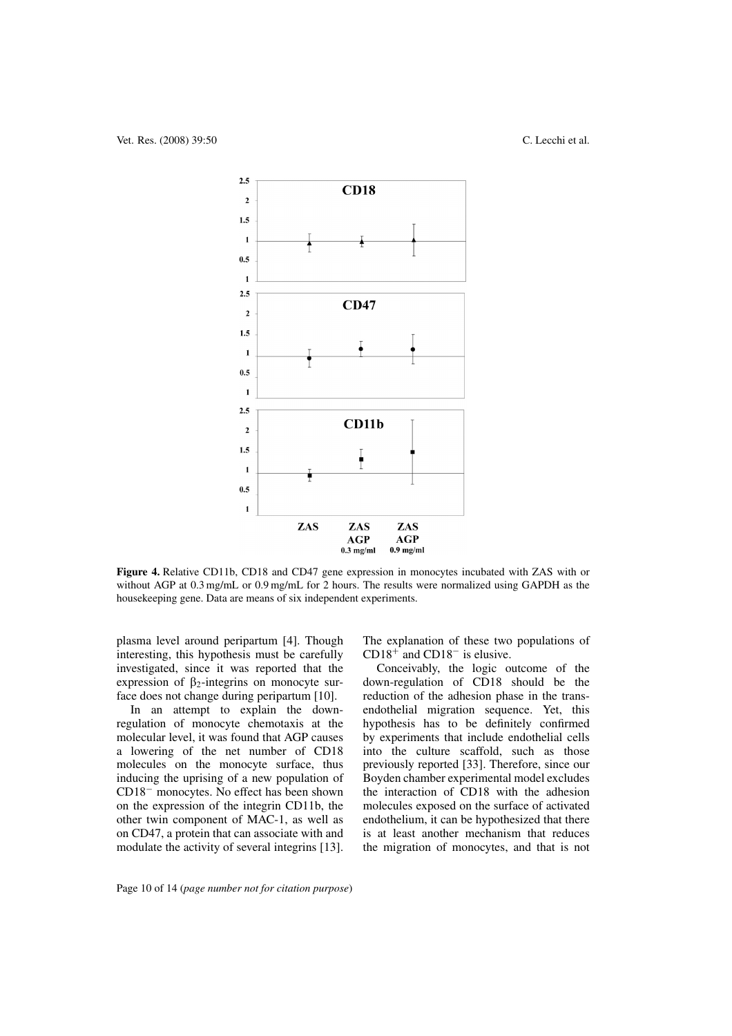

**Figure 4.** Relative CD11b, CD18 and CD47 gene expression in monocytes incubated with ZAS with or without AGP at 0.3 mg/mL or 0.9 mg/mL for 2 hours. The results were normalized using GAPDH as the housekeeping gene. Data are means of six independent experiments.

plasma level around peripartum [4]. Though interesting, this hypothesis must be carefully investigated, since it was reported that the expression of  $\beta_2$ -integrins on monocyte surface does not change during peripartum [10].

In an attempt to explain the downregulation of monocyte chemotaxis at the molecular level, it was found that AGP causes a lowering of the net number of CD18 molecules on the monocyte surface, thus inducing the uprising of a new population of CD18<sup>−</sup> monocytes. No effect has been shown on the expression of the integrin CD11b, the other twin component of MAC-1, as well as on CD47, a protein that can associate with and modulate the activity of several integrins [13]. The explanation of these two populations of CD18<sup>+</sup> and CD18<sup>−</sup> is elusive.

Conceivably, the logic outcome of the down-regulation of CD18 should be the reduction of the adhesion phase in the transendothelial migration sequence. Yet, this hypothesis has to be definitely confirmed by experiments that include endothelial cells into the culture scaffold, such as those previously reported [33]. Therefore, since our Boyden chamber experimental model excludes the interaction of CD18 with the adhesion molecules exposed on the surface of activated endothelium, it can be hypothesized that there is at least another mechanism that reduces the migration of monocytes, and that is not

Page 10 of 14 (*page number not for citation purpose*)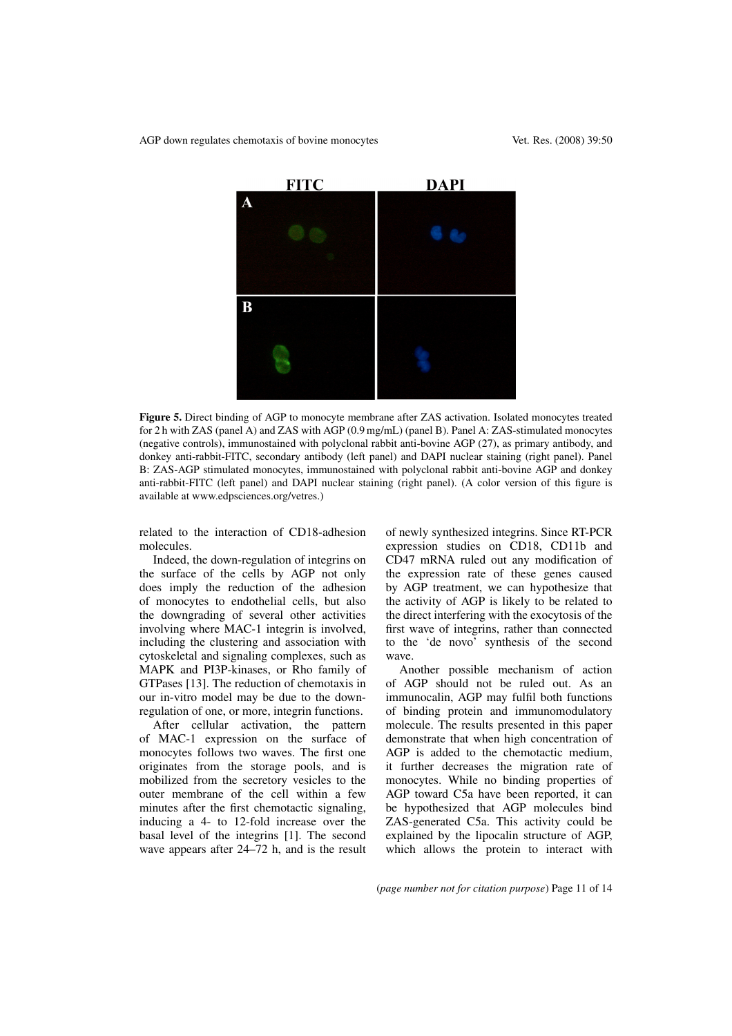

**Figure 5.** Direct binding of AGP to monocyte membrane after ZAS activation. Isolated monocytes treated for 2 h with ZAS (panel A) and ZAS with AGP (0.9 mg/mL) (panel B). Panel A: ZAS-stimulated monocytes (negative controls), immunostained with polyclonal rabbit anti-bovine AGP (27), as primary antibody, and donkey anti-rabbit-FITC, secondary antibody (left panel) and DAPI nuclear staining (right panel). Panel B: ZAS-AGP stimulated monocytes, immunostained with polyclonal rabbit anti-bovine AGP and donkey anti-rabbit-FITC (left panel) and DAPI nuclear staining (right panel). (A color version of this figure is available at www.edpsciences.org/vetres.)

related to the interaction of CD18-adhesion molecules.

Indeed, the down-regulation of integrins on the surface of the cells by AGP not only does imply the reduction of the adhesion of monocytes to endothelial cells, but also the downgrading of several other activities involving where MAC-1 integrin is involved, including the clustering and association with cytoskeletal and signaling complexes, such as MAPK and PI3P-kinases, or Rho family of GTPases [13]. The reduction of chemotaxis in our in-vitro model may be due to the downregulation of one, or more, integrin functions.

After cellular activation, the pattern of MAC-1 expression on the surface of monocytes follows two waves. The first one originates from the storage pools, and is mobilized from the secretory vesicles to the outer membrane of the cell within a few minutes after the first chemotactic signaling, inducing a 4- to 12-fold increase over the basal level of the integrins [1]. The second wave appears after 24–72 h, and is the result of newly synthesized integrins. Since RT-PCR expression studies on CD18, CD11b and CD47 mRNA ruled out any modification of the expression rate of these genes caused by AGP treatment, we can hypothesize that the activity of AGP is likely to be related to the direct interfering with the exocytosis of the first wave of integrins, rather than connected to the 'de novo' synthesis of the second wave.

Another possible mechanism of action of AGP should not be ruled out. As an immunocalin, AGP may fulfil both functions of binding protein and immunomodulatory molecule. The results presented in this paper demonstrate that when high concentration of AGP is added to the chemotactic medium, it further decreases the migration rate of monocytes. While no binding properties of AGP toward C5a have been reported, it can be hypothesized that AGP molecules bind ZAS-generated C5a. This activity could be explained by the lipocalin structure of AGP, which allows the protein to interact with

(*page number not for citation purpose*) Page 11 of 14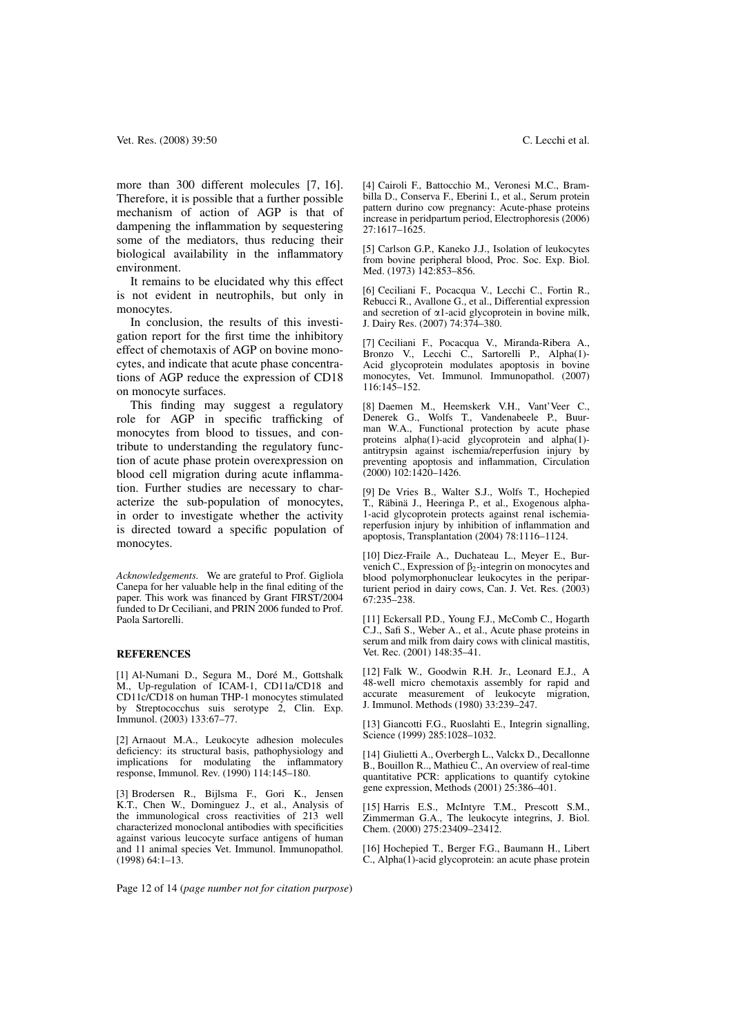more than 300 different molecules [7, 16]. Therefore, it is possible that a further possible mechanism of action of AGP is that of dampening the inflammation by sequestering some of the mediators, thus reducing their biological availability in the inflammatory environment.

It remains to be elucidated why this effect is not evident in neutrophils, but only in monocytes.

In conclusion, the results of this investigation report for the first time the inhibitory effect of chemotaxis of AGP on bovine monocytes, and indicate that acute phase concentrations of AGP reduce the expression of CD18 on monocyte surfaces.

This finding may suggest a regulatory role for AGP in specific trafficking of monocytes from blood to tissues, and contribute to understanding the regulatory function of acute phase protein overexpression on blood cell migration during acute inflammation. Further studies are necessary to characterize the sub-population of monocytes, in order to investigate whether the activity is directed toward a specific population of monocytes.

*Acknowledgements.* We are grateful to Prof. Gigliola Canepa for her valuable help in the final editing of the paper. This work was financed by Grant FIRST/2004 funded to Dr Ceciliani, and PRIN 2006 funded to Prof. Paola Sartorelli.

#### **REFERENCES**

[1] Al-Numani D., Segura M., Doré M., Gottshalk M., Up-regulation of ICAM-1, CD11a/CD18 and CD11c/CD18 on human THP-1 monocytes stimulated by Streptococchus suis serotype 2, Clin. Exp. Immunol. (2003) 133:67–77.

[2] Arnaout M.A., Leukocyte adhesion molecules deficiency: its structural basis, pathophysiology and implications for modulating the inflammatory response, Immunol. Rev. (1990) 114:145–180.

[3] Brodersen R., Bijlsma F., Gori K., Jensen K.T., Chen W., Dominguez J., et al., Analysis of the immunological cross reactivities of 213 well characterized monoclonal antibodies with specificities against various leucocyte surface antigens of human and 11 animal species Vet. Immunol. Immunopathol. (1998) 64:1–13.

[4] Cairoli F., Battocchio M., Veronesi M.C., Brambilla D., Conserva F., Eberini I., et al., Serum protein pattern durino cow pregnancy: Acute-phase proteins increase in peridpartum period, Electrophoresis (2006) 27:1617–1625.

[5] Carlson G.P., Kaneko J.J., Isolation of leukocytes from bovine peripheral blood, Proc. Soc. Exp. Biol. Med. (1973) 142:853–856.

[6] Ceciliani F., Pocacqua V., Lecchi C., Fortin R., Rebucci R., Avallone G., et al., Differential expression and secretion of  $\alpha$ 1-acid glycoprotein in bovine milk, J. Dairy Res. (2007) 74:374–380.

[7] Ceciliani F., Pocacqua V., Miranda-Ribera A., Bronzo V., Lecchi C., Sartorelli P., Alpha(1)- Acid glycoprotein modulates apoptosis in bovine monocytes, Vet. Immunol. Immunopathol. (2007) 116:145–152.

[8] Daemen M., Heemskerk V.H., Vant'Veer C., Denerek G., Wolfs T., Vandenabeele P., Buurman W.A., Functional protection by acute phase proteins alpha(1)-acid glycoprotein and alpha(1) antitrypsin against ischemia/reperfusion injury by preventing apoptosis and inflammation, Circulation  $(2000)$   $102:1420 - 1426$ .

[9] De Vries B., Walter S.J., Wolfs T., Hochepied T., Räbinä J., Heeringa P., et al., Exogenous alpha-1-acid glycoprotein protects against renal ischemiareperfusion injury by inhibition of inflammation and apoptosis, Transplantation (2004) 78:1116–1124.

[10] Diez-Fraile A., Duchateau L., Meyer E., Burvenich C., Expression of  $\beta_2$ -integrin on monocytes and blood polymorphonuclear leukocytes in the periparturient period in dairy cows, Can. J. Vet. Res. (2003) 67:235–238.

[11] Eckersall P.D., Young F.J., McComb C., Hogarth C.J., Safi S., Weber A., et al., Acute phase proteins in serum and milk from dairy cows with clinical mastitis, Vet. Rec. (2001) 148:35–41.

[12] Falk W., Goodwin R.H. Jr., Leonard E.J., A 48-well micro chemotaxis assembly for rapid and accurate measurement of leukocyte migration, J. Immunol. Methods (1980) 33:239–247.

[13] Giancotti F.G., Ruoslahti E., Integrin signalling, Science (1999) 285:1028-1032.

[14] Giulietti A., Overbergh L., Valckx D., Decallonne B., Bouillon R.., Mathieu C., An overview of real-time quantitative PCR: applications to quantify cytokine gene expression, Methods (2001) 25:386–401.

[15] Harris E.S., McIntyre T.M., Prescott S.M., Zimmerman G.A., The leukocyte integrins, J. Biol. Chem. (2000) 275:23409–23412.

[16] Hochepied T., Berger F.G., Baumann H., Libert C., Alpha(1)-acid glycoprotein: an acute phase protein

Page 12 of 14 (*page number not for citation purpose*)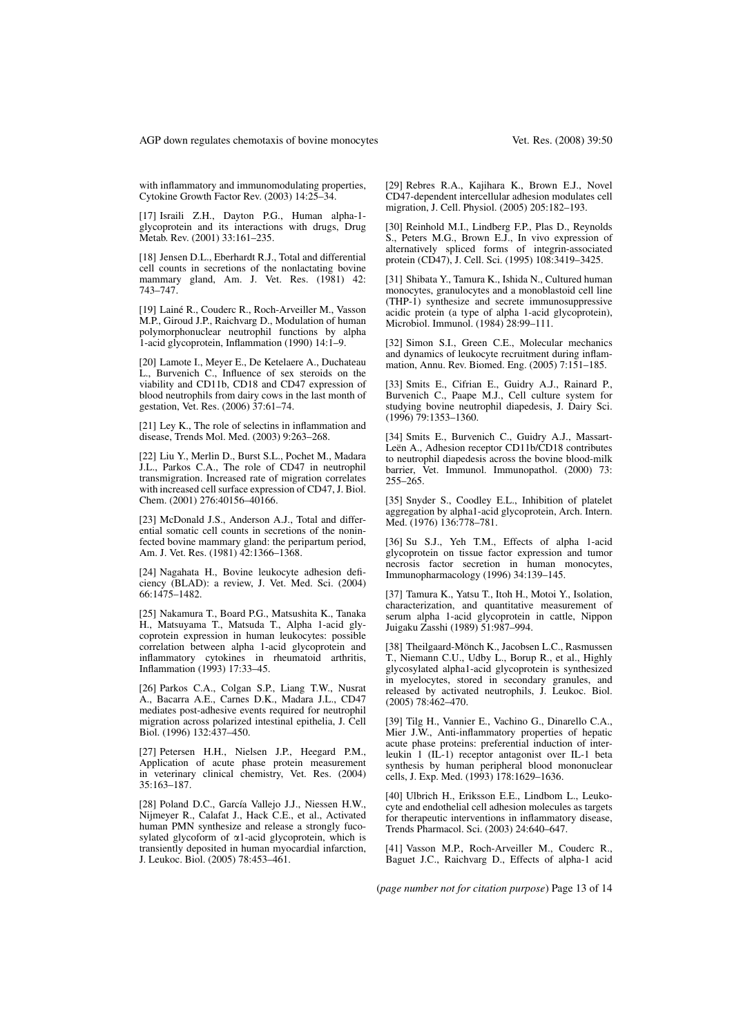with inflammatory and immunomodulating properties, Cytokine Growth Factor Rev. (2003) 14:25–34.

[17] Israili Z.H., Dayton P.G., Human alpha-1 glycoprotein and its interactions with drugs, Drug Metab. Rev. (2001) 33:161–235.

[18] Jensen D.L., Eberhardt R.J., Total and differential cell counts in secretions of the nonlactating bovine mammary gland, Am. J. Vet. Res. (1981) 42: 743–747.

[19] Lainé R., Couderc R., Roch-Arveiller M., Vasson M.P., Giroud J.P., Raichvarg D., Modulation of human polymorphonuclear neutrophil functions by alpha 1-acid glycoprotein, Inflammation (1990) 14:1–9.

[20] Lamote I., Meyer E., De Ketelaere A., Duchateau L., Burvenich C., Influence of sex steroids on the viability and CD11b, CD18 and CD47 expression of blood neutrophils from dairy cows in the last month of gestation, Vet. Res. (2006) 37:61–74.

[21] Ley K., The role of selectins in inflammation and disease, Trends Mol. Med. (2003) 9:263–268.

[22] Liu Y., Merlin D., Burst S.L., Pochet M., Madara J.L., Parkos C.A., The role of CD47 in neutrophil transmigration. Increased rate of migration correlates with increased cell surface expression of CD47, J. Biol. Chem. (2001) 276:40156–40166.

[23] McDonald J.S., Anderson A.J., Total and differential somatic cell counts in secretions of the noninfected bovine mammary gland: the peripartum period, Am. J. Vet. Res. (1981) 42:1366–1368.

[24] Nagahata H., Bovine leukocyte adhesion deficiency (BLAD): a review, J. Vet. Med. Sci. (2004) 66:1475–1482.

[25] Nakamura T., Board P.G., Matsushita K., Tanaka H., Matsuyama T., Matsuda T., Alpha 1-acid glycoprotein expression in human leukocytes: possible correlation between alpha 1-acid glycoprotein and inflammatory cytokines in rheumatoid arthritis, Inflammation (1993) 17:33–45.

[26] Parkos C.A., Colgan S.P., Liang T.W., Nusrat A., Bacarra A.E., Carnes D.K., Madara J.L., CD47 mediates post-adhesive events required for neutrophil migration across polarized intestinal epithelia, J. Cell Biol. (1996) 132:437–450.

[27] Petersen H.H., Nielsen J.P., Heegard P.M., Application of acute phase protein measurement in veterinary clinical chemistry, Vet. Res. (2004) 35:163–187.

[28] Poland D.C., García Vallejo J.J., Niessen H.W., Nijmeyer R., Calafat J., Hack C.E., et al., Activated human PMN synthesize and release a strongly fucosylated glycoform of  $\alpha$ 1-acid glycoprotein, which is transiently deposited in human myocardial infarction, J. Leukoc. Biol. (2005) 78:453–461.

[29] Rebres R.A., Kajihara K., Brown E.J., Novel CD47-dependent intercellular adhesion modulates cell migration, J. Cell. Physiol. (2005) 205:182–193.

[30] Reinhold M.I., Lindberg F.P., Plas D., Reynolds S., Peters M.G., Brown E.J., In vivo expression of alternatively spliced forms of integrin-associated protein (CD47), J. Cell. Sci. (1995) 108:3419–3425.

[31] Shibata Y., Tamura K., Ishida N., Cultured human monocytes, granulocytes and a monoblastoid cell line (THP-1) synthesize and secrete immunosuppressive acidic protein (a type of alpha 1-acid glycoprotein), Microbiol. Immunol. (1984) 28:99–111.

[32] Simon S.I., Green C.E., Molecular mechanics and dynamics of leukocyte recruitment during inflammation, Annu. Rev. Biomed. Eng. (2005) 7:151–185.

[33] Smits E., Cifrian E., Guidry A.J., Rainard P., Burvenich C., Paape M.J., Cell culture system for studying bovine neutrophil diapedesis, J. Dairy Sci. (1996) 79:1353–1360.

[34] Smits E., Burvenich C., Guidry A.J., Massart-Leën A., Adhesion receptor CD11b/CD18 contributes to neutrophil diapedesis across the bovine blood-milk barrier, Vet. Immunol. Immunopathol. (2000) 73: 255–265.

[35] Snyder S., Coodley E.L., Inhibition of platelet aggregation by alpha1-acid glycoprotein, Arch. Intern. Med. (1976) 136:778–781.

[36] Su S.J., Yeh T.M., Effects of alpha 1-acid glycoprotein on tissue factor expression and tumor necrosis factor secretion in human monocytes, Immunopharmacology (1996) 34:139–145.

[37] Tamura K., Yatsu T., Itoh H., Motoi Y., Isolation, characterization, and quantitative measurement of serum alpha 1-acid glycoprotein in cattle, Nippon Juigaku Zasshi (1989) 51:987–994.

[38] Theilgaard-Mönch K., Jacobsen L.C., Rasmussen T., Niemann C.U., Udby L., Borup R., et al., Highly glycosylated alpha1-acid glycoprotein is synthesized in myelocytes, stored in secondary granules, and released by activated neutrophils, J. Leukoc. Biol. (2005) 78:462–470.

[39] Tilg H., Vannier E., Vachino G., Dinarello C.A., Mier J.W., Anti-inflammatory properties of hepatic acute phase proteins: preferential induction of interleukin 1 (IL-1) receptor antagonist over IL-1 beta synthesis by human peripheral blood mononuclear cells, J. Exp. Med. (1993) 178:1629–1636.

[40] Ulbrich H., Eriksson E.E., Lindbom L., Leukocyte and endothelial cell adhesion molecules as targets for therapeutic interventions in inflammatory disease, Trends Pharmacol. Sci. (2003) 24:640–647.

[41] Vasson M.P., Roch-Arveiller M., Couderc R., Baguet J.C., Raichvarg D., Effects of alpha-1 acid

(*page number not for citation purpose*) Page 13 of 14